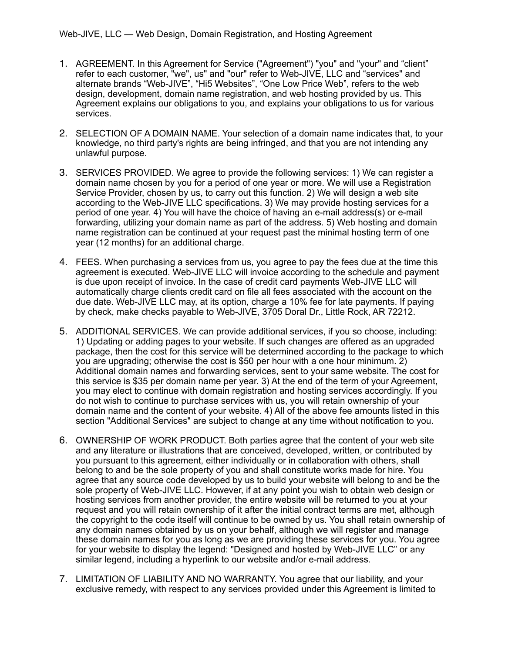- 1. AGREEMENT. In this Agreement for Service ("Agreement") "you" and "your" and "client" refer to each customer, "we", us" and "our" refer to Web-JIVE, LLC and "services" and alternate brands "Web-JIVE", "Hi5 Websites", "One Low Price Web", refers to the web design, development, domain name registration, and web hosting provided by us. This Agreement explains our obligations to you, and explains your obligations to us for various services.
- 2. SELECTION OF A DOMAIN NAME. Your selection of a domain name indicates that, to your knowledge, no third party's rights are being infringed, and that you are not intending any unlawful purpose.
- 3. SERVICES PROVIDED. We agree to provide the following services: 1) We can register a domain name chosen by you for a period of one year or more. We will use a Registration Service Provider, chosen by us, to carry out this function. 2) We will design a web site according to the Web-JIVE LLC specifications. 3) We may provide hosting services for a period of one year. 4) You will have the choice of having an e-mail address(s) or e-mail forwarding, utilizing your domain name as part of the address. 5) Web hosting and domain name registration can be continued at your request past the minimal hosting term of one year (12 months) for an additional charge.
- 4. FEES. When purchasing a services from us, you agree to pay the fees due at the time this agreement is executed. Web-JIVE LLC will invoice according to the schedule and payment is due upon receipt of invoice. In the case of credit card payments Web-JIVE LLC will automatically charge clients credit card on file all fees associated with the account on the due date. Web-JIVE LLC may, at its option, charge a 10% fee for late payments. If paying by check, make checks payable to Web-JIVE, 3705 Doral Dr., Little Rock, AR 72212.
- 5. ADDITIONAL SERVICES. We can provide additional services, if you so choose, including: 1) Updating or adding pages to your website. If such changes are offered as an upgraded package, then the cost for this service will be determined according to the package to which you are upgrading; otherwise the cost is \$50 per hour with a one hour minimum. 2) Additional domain names and forwarding services, sent to your same website. The cost for this service is \$35 per domain name per year. 3) At the end of the term of your Agreement, you may elect to continue with domain registration and hosting services accordingly. If you do not wish to continue to purchase services with us, you will retain ownership of your domain name and the content of your website. 4) All of the above fee amounts listed in this section "Additional Services" are subject to change at any time without notification to you.
- 6. OWNERSHIP OF WORK PRODUCT. Both parties agree that the content of your web site and any literature or illustrations that are conceived, developed, written, or contributed by you pursuant to this agreement, either individually or in collaboration with others, shall belong to and be the sole property of you and shall constitute works made for hire. You agree that any source code developed by us to build your website will belong to and be the sole property of Web-JIVE LLC. However, if at any point you wish to obtain web design or hosting services from another provider, the entire website will be returned to you at your request and you will retain ownership of it after the initial contract terms are met, although the copyright to the code itself will continue to be owned by us. You shall retain ownership of any domain names obtained by us on your behalf, although we will register and manage these domain names for you as long as we are providing these services for you. You agree for your website to display the legend: "Designed and hosted by Web-JIVE LLC" or any similar legend, including a hyperlink to our website and/or e-mail address.
- 7. LIMITATION OF LIABILITY AND NO WARRANTY. You agree that our liability, and your exclusive remedy, with respect to any services provided under this Agreement is limited to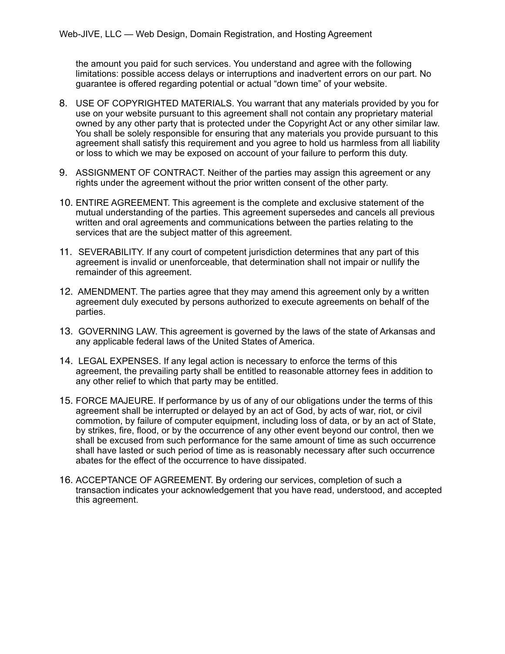the amount you paid for such services. You understand and agree with the following limitations: possible access delays or interruptions and inadvertent errors on our part. No guarantee is offered regarding potential or actual "down time" of your website.

- 8. USE OF COPYRIGHTED MATERIALS. You warrant that any materials provided by you for use on your website pursuant to this agreement shall not contain any proprietary material owned by any other party that is protected under the Copyright Act or any other similar law. You shall be solely responsible for ensuring that any materials you provide pursuant to this agreement shall satisfy this requirement and you agree to hold us harmless from all liability or loss to which we may be exposed on account of your failure to perform this duty.
- 9. ASSIGNMENT OF CONTRACT. Neither of the parties may assign this agreement or any rights under the agreement without the prior written consent of the other party.
- 10. ENTIRE AGREEMENT. This agreement is the complete and exclusive statement of the mutual understanding of the parties. This agreement supersedes and cancels all previous written and oral agreements and communications between the parties relating to the services that are the subject matter of this agreement.
- 11. SEVERABILITY. If any court of competent jurisdiction determines that any part of this agreement is invalid or unenforceable, that determination shall not impair or nullify the remainder of this agreement.
- 12. AMENDMENT. The parties agree that they may amend this agreement only by a written agreement duly executed by persons authorized to execute agreements on behalf of the parties.
- 13. GOVERNING LAW. This agreement is governed by the laws of the state of Arkansas and any applicable federal laws of the United States of America.
- 14. LEGAL EXPENSES. If any legal action is necessary to enforce the terms of this agreement, the prevailing party shall be entitled to reasonable attorney fees in addition to any other relief to which that party may be entitled.
- 15. FORCE MAJEURE. If performance by us of any of our obligations under the terms of this agreement shall be interrupted or delayed by an act of God, by acts of war, riot, or civil commotion, by failure of computer equipment, including loss of data, or by an act of State, by strikes, fire, flood, or by the occurrence of any other event beyond our control, then we shall be excused from such performance for the same amount of time as such occurrence shall have lasted or such period of time as is reasonably necessary after such occurrence abates for the effect of the occurrence to have dissipated.
- 16. ACCEPTANCE OF AGREEMENT. By ordering our services, completion of such a transaction indicates your acknowledgement that you have read, understood, and accepted this agreement.